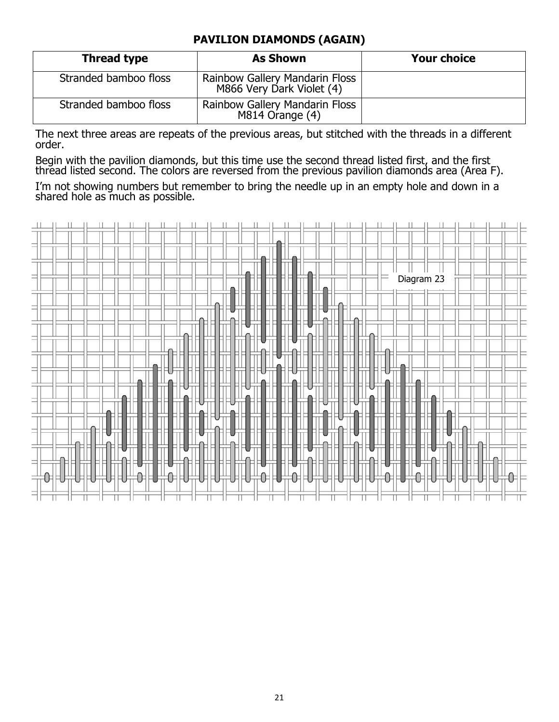## **PAVILION DIAMONDS (AGAIN)**

| Thread type           | <b>As Shown</b>                                                    | <b>Your choice</b> |
|-----------------------|--------------------------------------------------------------------|--------------------|
| Stranded bamboo floss | <b>Rainbow Gallery Mandarin Floss</b><br>M866 Very Dark Violet (4) |                    |
| Stranded bamboo floss | <b>Rainbow Gallery Mandarin Floss</b><br>M814 Orange (4)           |                    |

The next three areas are repeats of the previous areas, but stitched with the threads in a different order.

Begin with the pavilion diamonds, but this time use the second thread listed first, and the first thread listed second. The colors are reversed from the previous pavilion diamonds area (Area F).

I'm not showing numbers but remember to bring the needle up in an empty hole and down in a shared hole as much as possible.

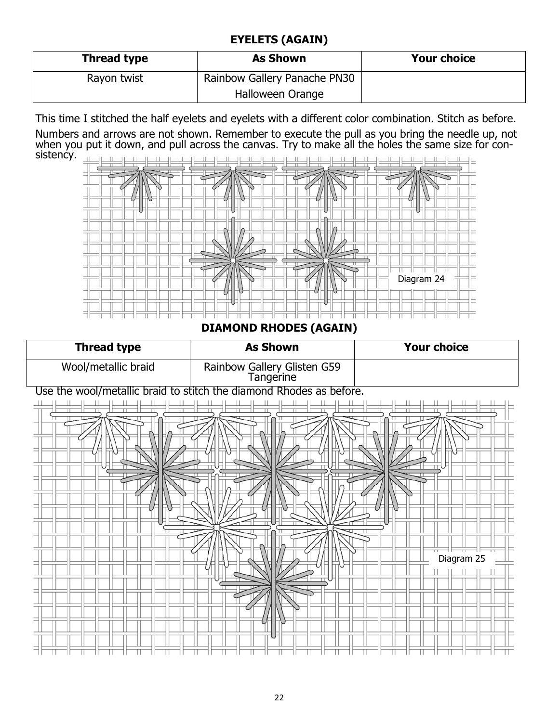## **EYELETS (AGAIN)**

| Thread type | <b>As Shown</b>              | <b>Your choice</b> |
|-------------|------------------------------|--------------------|
| Rayon twist | Rainbow Gallery Panache PN30 |                    |
|             | Halloween Orange             |                    |

This time I stitched the half eyelets and eyelets with a different color combination. Stitch as before.

Numbers and arrows are not shown. Remember to execute the pull as you bring the needle up, not when you put it down, and pull across the canvas. Try to make all the holes the same size for consistency.  $\pm 1$  $H = H$  $\pm$  $\pm$  $\mathbf{H}$  $\mathbb{H}$  $\perp$  $\perp$  $\Box$  $\perp$  $\mathbb{H}$  $\mathbf{H}$  $\mathbf{H}$  $\mathbf{L}$ 



**DIAMOND RHODES (AGAIN)** 

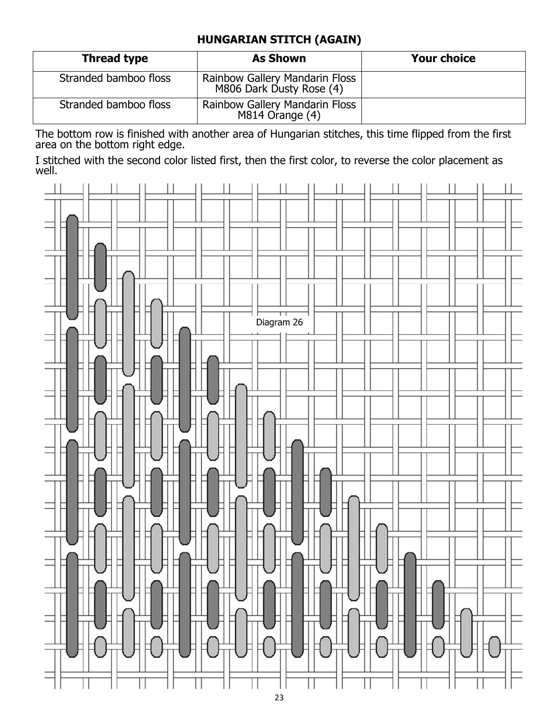## **HUNGARIAN STITCH (AGAIN)**

| <b>Thread type</b>    | <b>As Shown</b>                                            | <b>Your choice</b> |
|-----------------------|------------------------------------------------------------|--------------------|
| Stranded bamboo floss | Rainbow Gallery Mandarin Floss<br>M806 Dark Dusty Rose (4) |                    |
| Stranded bamboo floss | Rainbow Gallery Mandarin Floss<br>M814 Orange (4)          |                    |

The bottom row is finished with another area of Hungarian stitches, this time flipped from the first area on the bottom right edge.